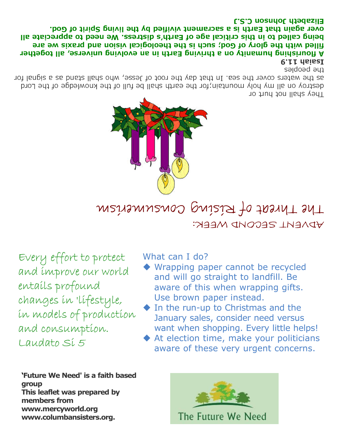## Elizabeth Johnson C.S.J

over again that Earth is a sacrament vivified by the living Spirit of God. being called to in this critical age of Earth's distress. We need to appreciate all filled with the glory of God; such is the theological vision and praxis we are A flourishing humanity on a thriving Earth in an evolving universe, all together **P.I.I** daisel

the peobles

as the waters cover the sea. In that day the root of Jesse, who shall stand as a signal for destroy on all ny holy mountain; for the earth shall be full of the knowledge of the Lord They shall not hurt or



The Threat of Rising Consumerism ADVENT SECOND WEEK:

Every effort to protect and improve our world entails profound changes in 'lifestyle, in models of production and consumption. Laudato Si 5

'Future We Need' is a faith based group This leaflet was prepared by members from www.mercyworld.org www.columbansisters.org.

What can I do?

- ◆ Wrapping paper cannot be recycled and will go straight to landfill. Be aware of this when wrapping gifts. Use brown paper instead.
- $\blacklozenge$  In the run-up to Christmas and the January sales, consider need versus want when shopping. Every little helps!
- At election time, make your politicians aware of these very urgent concerns.